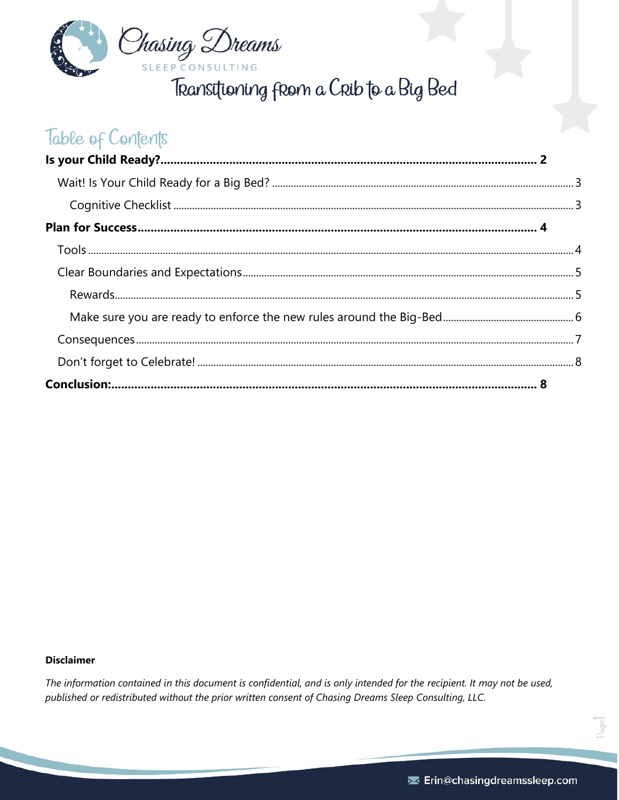

Transitioning from a Crib to a Big Bed

# Table of Contents

#### **Disclaimer**

The information contained in this document is confidential, and is only intended for the recipient. It may not be used, published or redistributed without the prior written consent of Chasing Dreams Sleep Consulting, LLC.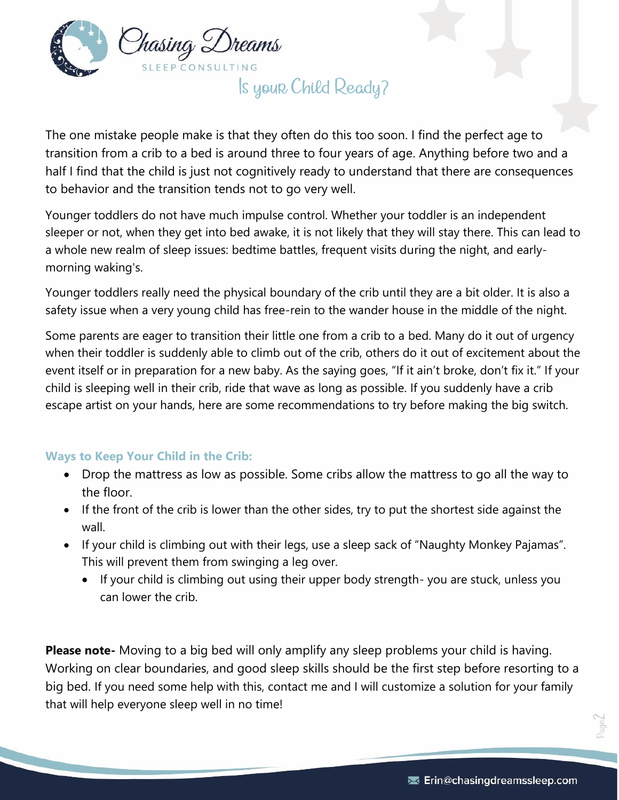

Is your Child Ready?

<span id="page-1-0"></span>The one mistake people make is that they often do this too soon. I find the perfect age to transition from a crib to a bed is around three to four years of age. Anything before two and a half I find that the child is just not cognitively ready to understand that there are consequences to behavior and the transition tends not to go very well.

Younger toddlers do not have much impulse control. Whether your toddler is an independent sleeper or not, when they get into bed awake, it is not likely that they will stay there. This can lead to a whole new realm of sleep issues: bedtime battles, frequent visits during the night, and earlymorning waking's.

Younger toddlers really need the physical boundary of the crib until they are a bit older. It is also a safety issue when a very young child has free-rein to the wander house in the middle of the night.

Some parents are eager to transition their little one from a crib to a bed. Many do it out of urgency when their toddler is suddenly able to climb out of the crib, others do it out of excitement about the event itself or in preparation for a new baby. As the saying goes, "If it ain't broke, don't fix it." If your child is sleeping well in their crib, ride that wave as long as possible. If you suddenly have a crib escape artist on your hands, here are some recommendations to try before making the big switch.

#### **Ways to Keep Your Child in the Crib:**

- Drop the mattress as low as possible. Some cribs allow the mattress to go all the way to the floor.
- If the front of the crib is lower than the other sides, try to put the shortest side against the wall.
- If your child is climbing out with their legs, use a sleep sack of "Naughty Monkey Pajamas". This will prevent them from swinging a leg over.
	- If your child is climbing out using their upper body strength- you are stuck, unless you can lower the crib.

**Please note-** Moving to a big bed will only amplify any sleep problems your child is having. Working on clear boundaries, and good sleep skills should be the first step before resorting to a big bed. If you need some help with this, contact me and I will customize a solution for your family that will help everyone sleep well in no time!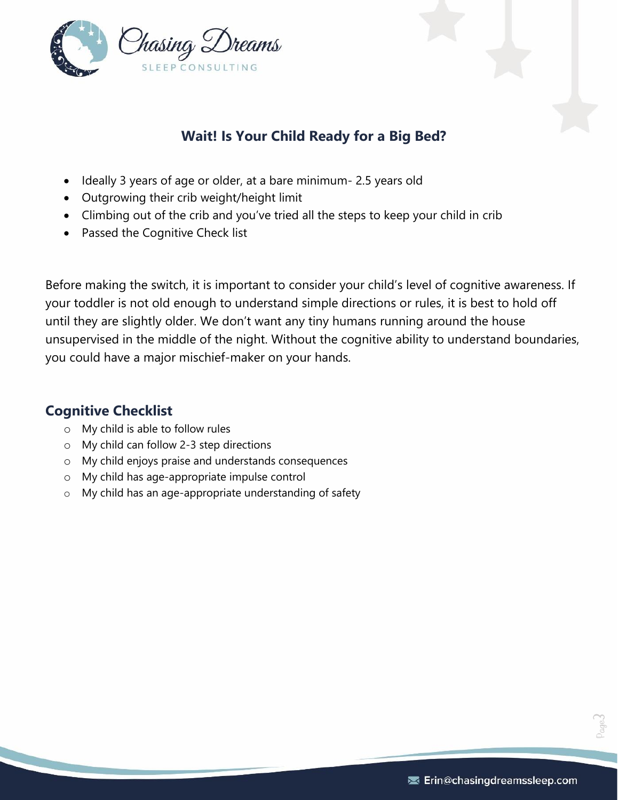

## **Wait! Is Your Child Ready for a Big Bed?**

- <span id="page-2-0"></span>• Ideally 3 years of age or older, at a bare minimum- 2.5 years old
- Outgrowing their crib weight/height limit
- Climbing out of the crib and you've tried all the steps to keep your child in crib
- Passed the Cognitive Check list

Before making the switch, it is important to consider your child's level of cognitive awareness. If your toddler is not old enough to understand simple directions or rules, it is best to hold off until they are slightly older. We don't want any tiny humans running around the house unsupervised in the middle of the night. Without the cognitive ability to understand boundaries, you could have a major mischief-maker on your hands.

### <span id="page-2-1"></span>**Cognitive Checklist**

- o My child is able to follow rules
- o My child can follow 2-3 step directions
- o My child enjoys praise and understands consequences
- o My child has age-appropriate impulse control
- o My child has an age-appropriate understanding of safety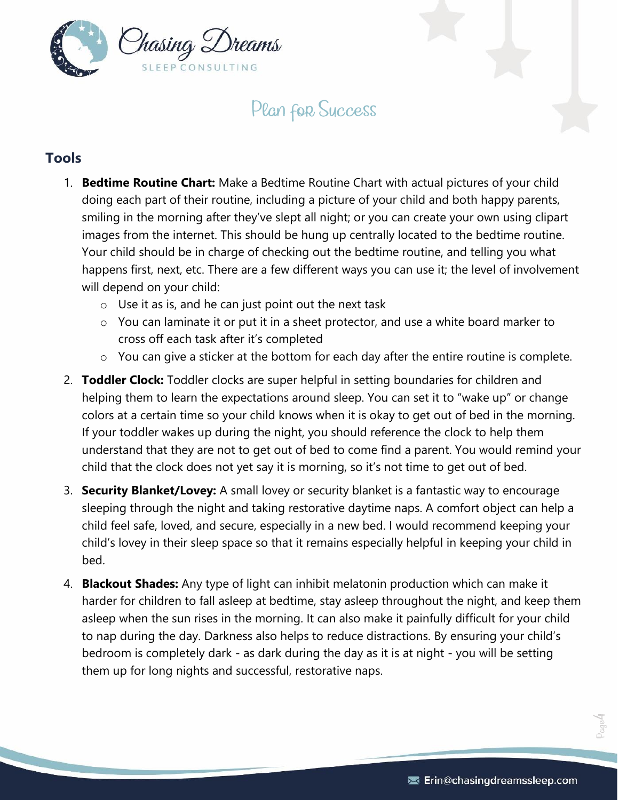

## Plan for Success

## <span id="page-3-1"></span><span id="page-3-0"></span>**Tools**

- 1. **Bedtime Routine Chart:** Make a Bedtime Routine Chart with actual pictures of your child doing each part of their routine, including a picture of your child and both happy parents, smiling in the morning after they've slept all night; or you can create your own using clipart images from the internet. This should be hung up centrally located to the bedtime routine. Your child should be in charge of checking out the bedtime routine, and telling you what happens first, next, etc. There are a few different ways you can use it; the level of involvement will depend on your child:
	- $\circ$  Use it as is, and he can just point out the next task
	- o You can laminate it or put it in a sheet protector, and use a white board marker to cross off each task after it's completed
	- o You can give a sticker at the bottom for each day after the entire routine is complete.
- 2. **Toddler Clock:** Toddler clocks are super helpful in setting boundaries for children and helping them to learn the expectations around sleep. You can set it to "wake up" or change colors at a certain time so your child knows when it is okay to get out of bed in the morning. If your toddler wakes up during the night, you should reference the clock to help them understand that they are not to get out of bed to come find a parent. You would remind your child that the clock does not yet say it is morning, so it's not time to get out of bed.
- 3. **Security Blanket/Lovey:** A small lovey or security blanket is a fantastic way to encourage sleeping through the night and taking restorative daytime naps. A comfort object can help a child feel safe, loved, and secure, especially in a new bed. I would recommend keeping your child's lovey in their sleep space so that it remains especially helpful in keeping your child in bed.
- 4. **Blackout Shades:** Any type of light can inhibit melatonin production which can make it harder for children to fall asleep at bedtime, stay asleep throughout the night, and keep them asleep when the sun rises in the morning. It can also make it painfully difficult for your child to nap during the day. Darkness also helps to reduce distractions. By ensuring your child's bedroom is completely dark - as dark during the day as it is at night - you will be setting them up for long nights and successful, restorative naps.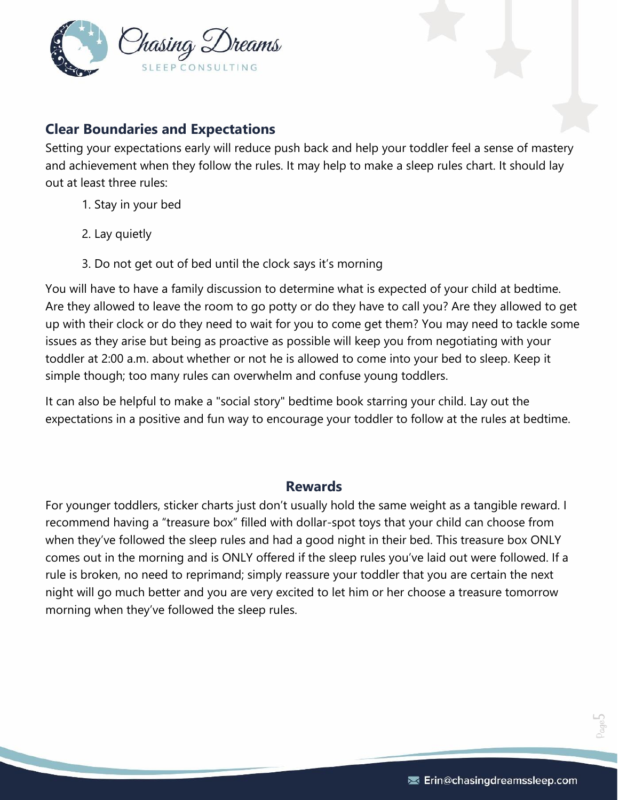

### <span id="page-4-0"></span>**Clear Boundaries and Expectations**

Setting your expectations early will reduce push back and help your toddler feel a sense of mastery and achievement when they follow the rules. It may help to make a sleep rules chart. It should lay out at least three rules:

- 1. Stay in your bed
- 2. Lay quietly
- 3. Do not get out of bed until the clock says it's morning

You will have to have a family discussion to determine what is expected of your child at bedtime. Are they allowed to leave the room to go potty or do they have to call you? Are they allowed to get up with their clock or do they need to wait for you to come get them? You may need to tackle some issues as they arise but being as proactive as possible will keep you from negotiating with your toddler at 2:00 a.m. about whether or not he is allowed to come into your bed to sleep. Keep it simple though; too many rules can overwhelm and confuse young toddlers.

It can also be helpful to make a "social story" bedtime book starring your child. Lay out the expectations in a positive and fun way to encourage your toddler to follow at the rules at bedtime.

#### **Rewards**

<span id="page-4-1"></span>For younger toddlers, sticker charts just don't usually hold the same weight as a tangible reward. I recommend having a "treasure box" filled with dollar-spot toys that your child can choose from when they've followed the sleep rules and had a good night in their bed. This treasure box ONLY comes out in the morning and is ONLY offered if the sleep rules you've laid out were followed. If a rule is broken, no need to reprimand; simply reassure your toddler that you are certain the next night will go much better and you are very excited to let him or her choose a treasure tomorrow morning when they've followed the sleep rules.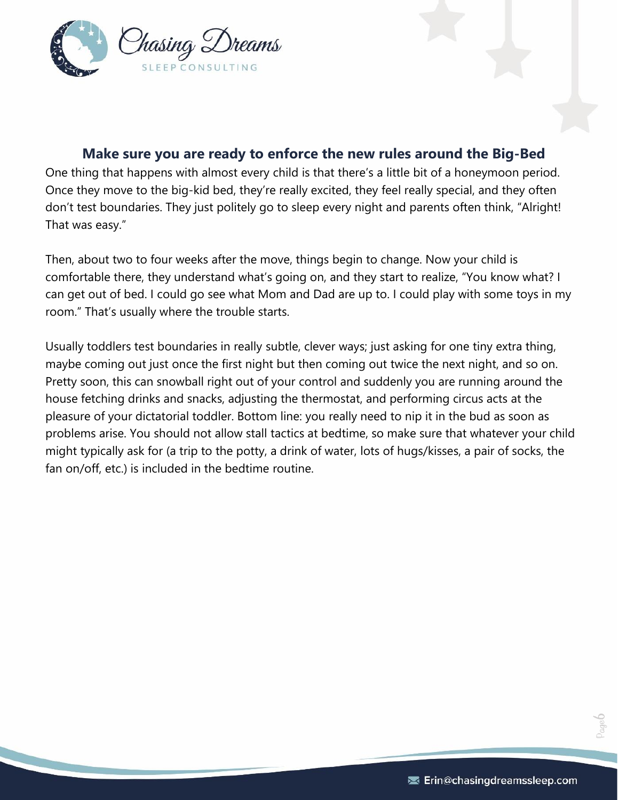

#### **Make sure you are ready to enforce the new rules around the Big-Bed**

<span id="page-5-0"></span>One thing that happens with almost every child is that there's a little bit of a honeymoon period. Once they move to the big-kid bed, they're really excited, they feel really special, and they often don't test boundaries. They just politely go to sleep every night and parents often think, "Alright! That was easy."

Then, about two to four weeks after the move, things begin to change. Now your child is comfortable there, they understand what's going on, and they start to realize, "You know what? I can get out of bed. I could go see what Mom and Dad are up to. I could play with some toys in my room." That's usually where the trouble starts.

Usually toddlers test boundaries in really subtle, clever ways; just asking for one tiny extra thing, maybe coming out just once the first night but then coming out twice the next night, and so on. Pretty soon, this can snowball right out of your control and suddenly you are running around the house fetching drinks and snacks, adjusting the thermostat, and performing circus acts at the pleasure of your dictatorial toddler. Bottom line: you really need to nip it in the bud as soon as problems arise. You should not allow stall tactics at bedtime, so make sure that whatever your child might typically ask for (a trip to the potty, a drink of water, lots of hugs/kisses, a pair of socks, the fan on/off, etc.) is included in the bedtime routine.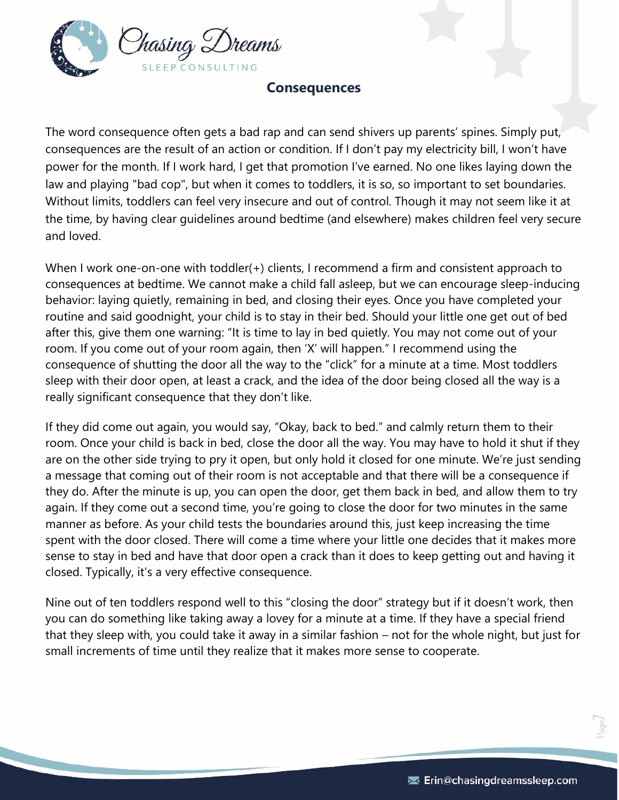

#### **Consequences**

<span id="page-6-0"></span>The word consequence often gets a bad rap and can send shivers up parents' spines. Simply put, consequences are the result of an action or condition. If I don't pay my electricity bill, I won't have power for the month. If I work hard, I get that promotion I've earned. No one likes laying down the law and playing "bad cop", but when it comes to toddlers, it is so, so important to set boundaries. Without limits, toddlers can feel very insecure and out of control. Though it may not seem like it at the time, by having clear guidelines around bedtime (and elsewhere) makes children feel very secure and loved.

When I work one-on-one with toddler(+) clients, I recommend a firm and consistent approach to consequences at bedtime. We cannot make a child fall asleep, but we can encourage sleep-inducing behavior: laying quietly, remaining in bed, and closing their eyes. Once you have completed your routine and said goodnight, your child is to stay in their bed. Should your little one get out of bed after this, give them one warning: "It is time to lay in bed quietly. You may not come out of your room. If you come out of your room again, then 'X' will happen." I recommend using the consequence of shutting the door all the way to the "click" for a minute at a time. Most toddlers sleep with their door open, at least a crack, and the idea of the door being closed all the way is a really significant consequence that they don't like.

If they did come out again, you would say, "Okay, back to bed." and calmly return them to their room. Once your child is back in bed, close the door all the way. You may have to hold it shut if they are on the other side trying to pry it open, but only hold it closed for one minute. We're just sending a message that coming out of their room is not acceptable and that there will be a consequence if they do. After the minute is up, you can open the door, get them back in bed, and allow them to try again. If they come out a second time, you're going to close the door for two minutes in the same manner as before. As your child tests the boundaries around this, just keep increasing the time spent with the door closed. There will come a time where your little one decides that it makes more sense to stay in bed and have that door open a crack than it does to keep getting out and having it closed. Typically, it's a very effective consequence.

Nine out of ten toddlers respond well to this "closing the door" strategy but if it doesn't work, then you can do something like taking away a lovey for a minute at a time. If they have a special friend that they sleep with, you could take it away in a similar fashion – not for the whole night, but just for small increments of time until they realize that it makes more sense to cooperate.